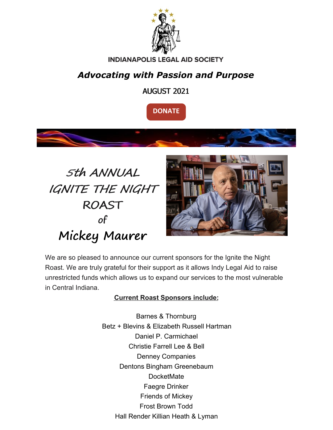

#### **INDIANAPOLIS LEGAL AID SOCIETY**

## *Advocating with Passion and Purpose*

AUGUST 2021









We are so pleased to announce our current sponsors for the Ignite the Night Roast. We are truly grateful for their support as it allows Indy Legal Aid to raise unrestricted funds which allows us to expand our services to the most vulnerable in Central Indiana.

#### **Current Roast Sponsors include:**

Barnes & Thornburg Betz + Blevins & Elizabeth Russell Hartman Daniel P. Carmichael Christie Farrell Lee & Bell Denney Companies Dentons Bingham Greenebaum **DocketMate** Faegre Drinker Friends of Mickey Frost Brown Todd Hall Render Killian Heath & Lyman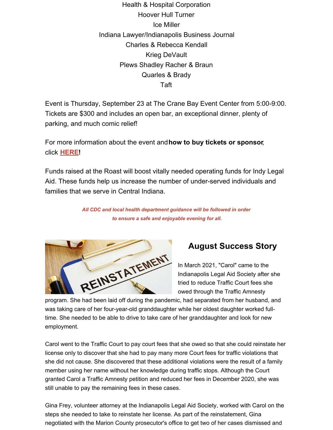Health & Hospital Corporation Hoover Hull Turner Ice Miller Indiana Lawyer/Indianapolis Business Journal Charles & Rebecca Kendall Krieg DeVault Plews Shadley Racher & Braun Quarles & Brady Taft

Event is Thursday, September 23 at The Crane Bay Event Center from 5:00-9:00. Tickets are \$300 and includes an open bar, an exceptional dinner, plenty of parking, and much comic relief!

For more information about the event and**how to buy tickets or sponsor**, click **[HERE](https://www.indylas.org/2021-ignite-the-night-roast)[!](https://em-ui.constantcontact.com/em-ui/em/page/em-ui/email#)**

Funds raised at the Roast will boost vitally needed operating funds for Indy Legal Aid. These funds help us increase the number of under-served individuals and families that we serve in Central Indiana.

> *All CDC and local health department guidance will be followed in order to ensure a safe and enjoyable evening for all.*

REINSTATEMENT

### **August Success Story**

In March 2021, "Carol" came to the Indianapolis Legal Aid Society after she tried to reduce Traffic Court fees she owed through the Traffic Amnesty

program. She had been laid off during the pandemic, had separated from her husband, and was taking care of her four-year-old granddaughter while her oldest daughter worked fulltime. She needed to be able to drive to take care of her granddaughter and look for new employment.

Carol went to the Traffic Court to pay court fees that she owed so that she could reinstate her license only to discover that she had to pay many more Court fees for traffic violations that she did not cause. She discovered that these additional violations were the result of a family member using her name without her knowledge during traffic stops. Although the Court granted Carol a Traffic Amnesty petition and reduced her fees in December 2020, she was still unable to pay the remaining fees in these cases.

Gina Frey, volunteer attorney at the Indianapolis Legal Aid Society, worked with Carol on the steps she needed to take to reinstate her license. As part of the reinstatement, Gina negotiated with the Marion County prosecutor's office to get two of her cases dismissed and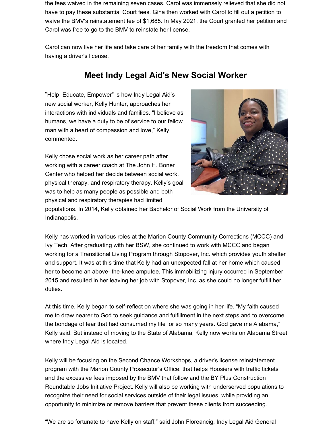the fees waived in the remaining seven cases. Carol was immensely relieved that she did not have to pay these substantial Court fees. Gina then worked with Carol to fill out a petition to waive the BMV's reinstatement fee of \$1,685. In May 2021, the Court granted her petition and Carol was free to go to the BMV to reinstate her license.

Carol can now live her life and take care of her family with the freedom that comes with having a driver's license.

### **Meet Indy Legal Aid's New Social Worker**

"Help, Educate, Empower" is how Indy Legal Aid's new social worker, Kelly Hunter, approaches her interactions with individuals and families. "I believe as humans, we have a duty to be of service to our fellow man with a heart of compassion and love," Kelly commented.

Kelly chose social work as her career path after working with a career coach at The John H. Boner Center who helped her decide between social work, physical therapy, and respiratory therapy. Kelly's goal was to help as many people as possible and both physical and respiratory therapies had limited



populations. In 2014, Kelly obtained her Bachelor of Social Work from the University of Indianapolis.

Kelly has worked in various roles at the Marion County Community Corrections (MCCC) and Ivy Tech. After graduating with her BSW, she continued to work with MCCC and began working for a Transitional Living Program through Stopover, Inc. which provides youth shelter and support. It was at this time that Kelly had an unexpected fall at her home which caused her to become an above- the-knee amputee. This immobilizing injury occurred in September 2015 and resulted in her leaving her job with Stopover, Inc. as she could no longer fulfill her duties.

At this time, Kelly began to self-reflect on where she was going in her life. "My faith caused me to draw nearer to God to seek guidance and fulfillment in the next steps and to overcome the bondage of fear that had consumed my life for so many years. God gave me Alabama," Kelly said. But instead of moving to the State of Alabama, Kelly now works on Alabama Street where Indy Legal Aid is located.

Kelly will be focusing on the Second Chance Workshops, a driver's license reinstatement program with the Marion County Prosecutor's Office, that helps Hoosiers with traffic tickets and the excessive fees imposed by the BMV that follow and the BY Plus Construction Roundtable Jobs Initiative Project. Kelly will also be working with underserved populations to recognize their need for social services outside of their legal issues, while providing an opportunity to minimize or remove barriers that prevent these clients from succeeding.

"We are so fortunate to have Kelly on staff," said John Floreancig, Indy Legal Aid General